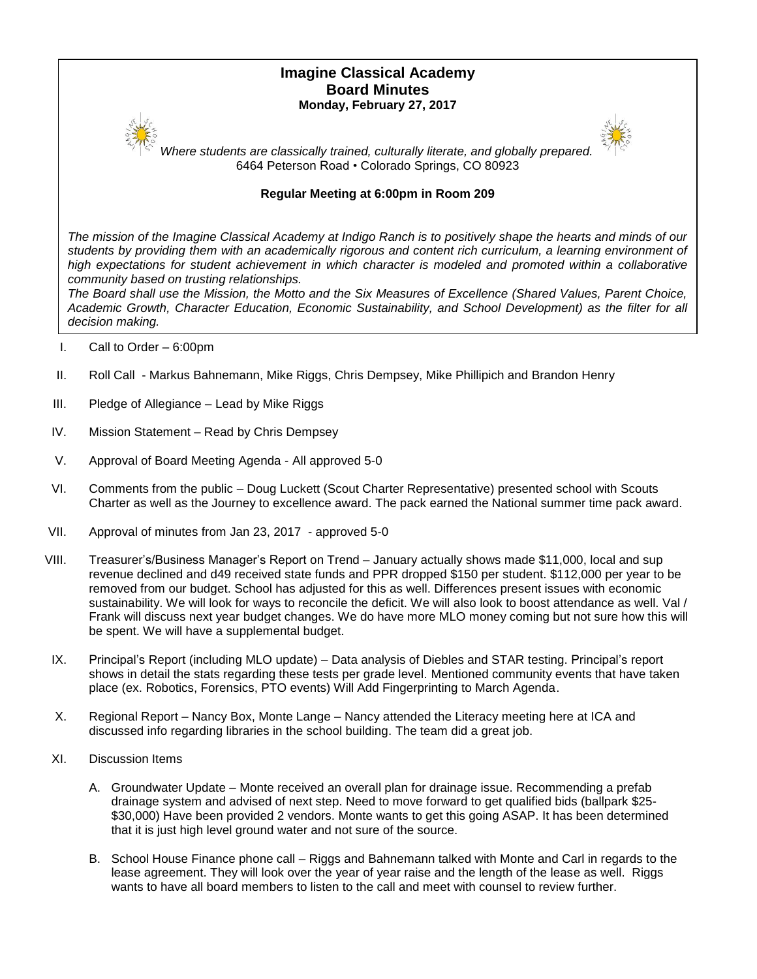# **Imagine Classical Academy Board Minutes Monday, February 27, 2017**



*Where students are classically trained, culturally literate, and globally prepared.* 6464 Peterson Road • Colorado Springs, CO 80923

# **Regular Meeting at 6:00pm in Room 209**

*The mission of the Imagine Classical Academy at Indigo Ranch is to positively shape the hearts and minds of our*  students by providing them with an academically rigorous and content rich curriculum, a learning environment of high expectations for student achievement in which character is modeled and promoted within a collaborative *community based on trusting relationships.*

*The Board shall use the Mission, the Motto and the Six Measures of Excellence (Shared Values, Parent Choice, Academic Growth, Character Education, Economic Sustainability, and School Development) as the filter for all decision making.*

- I. Call to Order 6:00pm
- II. Roll Call Markus Bahnemann, Mike Riggs, Chris Dempsey, Mike Phillipich and Brandon Henry
- III. Pledge of Allegiance Lead by Mike Riggs
- IV. Mission Statement Read by Chris Dempsey
- V. Approval of Board Meeting Agenda All approved 5-0
- VI. Comments from the public Doug Luckett (Scout Charter Representative) presented school with Scouts Charter as well as the Journey to excellence award. The pack earned the National summer time pack award.
- VII. Approval of minutes from Jan 23, 2017 approved 5-0
- VIII. Treasurer's/Business Manager's Report on Trend January actually shows made \$11,000, local and sup revenue declined and d49 received state funds and PPR dropped \$150 per student. \$112,000 per year to be removed from our budget. School has adjusted for this as well. Differences present issues with economic sustainability. We will look for ways to reconcile the deficit. We will also look to boost attendance as well. Val / Frank will discuss next year budget changes. We do have more MLO money coming but not sure how this will be spent. We will have a supplemental budget.
- IX. Principal's Report (including MLO update) Data analysis of Diebles and STAR testing. Principal's report shows in detail the stats regarding these tests per grade level. Mentioned community events that have taken place (ex. Robotics, Forensics, PTO events) Will Add Fingerprinting to March Agenda.
- X. Regional Report Nancy Box, Monte Lange Nancy attended the Literacy meeting here at ICA and discussed info regarding libraries in the school building. The team did a great job.
- XI. Discussion Items
	- A. Groundwater Update Monte received an overall plan for drainage issue. Recommending a prefab drainage system and advised of next step. Need to move forward to get qualified bids (ballpark \$25- \$30,000) Have been provided 2 vendors. Monte wants to get this going ASAP. It has been determined that it is just high level ground water and not sure of the source.
	- B. School House Finance phone call Riggs and Bahnemann talked with Monte and Carl in regards to the lease agreement. They will look over the year of year raise and the length of the lease as well. Riggs wants to have all board members to listen to the call and meet with counsel to review further.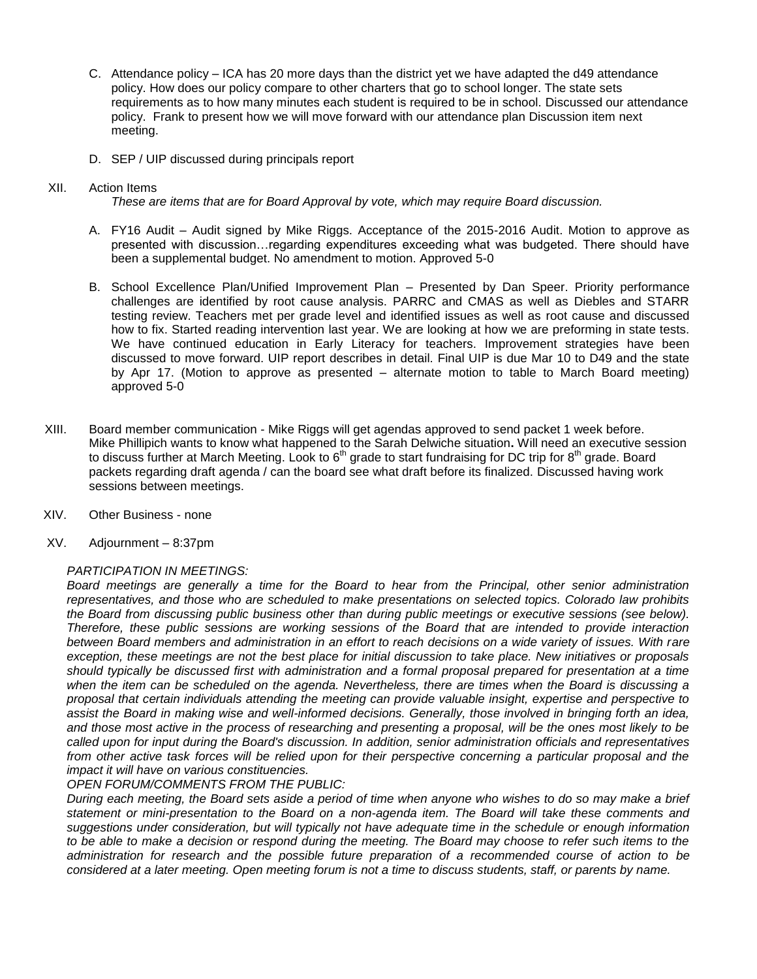- C. Attendance policy ICA has 20 more days than the district yet we have adapted the d49 attendance policy. How does our policy compare to other charters that go to school longer. The state sets requirements as to how many minutes each student is required to be in school. Discussed our attendance policy. Frank to present how we will move forward with our attendance plan Discussion item next meeting.
- D. SEP / UIP discussed during principals report

#### XII. Action Items

*These are items that are for Board Approval by vote, which may require Board discussion.*

- A. FY16 Audit Audit signed by Mike Riggs. Acceptance of the 2015-2016 Audit. Motion to approve as presented with discussion…regarding expenditures exceeding what was budgeted. There should have been a supplemental budget. No amendment to motion. Approved 5-0
- B. School Excellence Plan/Unified Improvement Plan Presented by Dan Speer. Priority performance challenges are identified by root cause analysis. PARRC and CMAS as well as Diebles and STARR testing review. Teachers met per grade level and identified issues as well as root cause and discussed how to fix. Started reading intervention last year. We are looking at how we are preforming in state tests. We have continued education in Early Literacy for teachers. Improvement strategies have been discussed to move forward. UIP report describes in detail. Final UIP is due Mar 10 to D49 and the state by Apr 17. (Motion to approve as presented – alternate motion to table to March Board meeting) approved 5-0
- XIII. Board member communication Mike Riggs will get agendas approved to send packet 1 week before. Mike Phillipich wants to know what happened to the Sarah Delwiche situation**.** Will need an executive session to discuss further at March Meeting. Look to  $6<sup>th</sup>$  grade to start fundraising for DC trip for  $8<sup>th</sup>$  grade. Board packets regarding draft agenda / can the board see what draft before its finalized. Discussed having work sessions between meetings.
- XIV. Other Business none
- XV. Adjournment 8:37pm

## *PARTICIPATION IN MEETINGS:*

*Board meetings are generally a time for the Board to hear from the Principal, other senior administration representatives, and those who are scheduled to make presentations on selected topics. Colorado law prohibits*  the Board from discussing public business other than during public meetings or executive sessions (see below). *Therefore, these public sessions are working sessions of the Board that are intended to provide interaction between Board members and administration in an effort to reach decisions on a wide variety of issues. With rare exception, these meetings are not the best place for initial discussion to take place. New initiatives or proposals should typically be discussed first with administration and a formal proposal prepared for presentation at a time when the item can be scheduled on the agenda. Nevertheless, there are times when the Board is discussing a proposal that certain individuals attending the meeting can provide valuable insight, expertise and perspective to assist the Board in making wise and well-informed decisions. Generally, those involved in bringing forth an idea, and those most active in the process of researching and presenting a proposal, will be the ones most likely to be called upon for input during the Board's discussion. In addition, senior administration officials and representatives from other active task forces will be relied upon for their perspective concerning a particular proposal and the impact it will have on various constituencies.* 

## *OPEN FORUM/COMMENTS FROM THE PUBLIC:*

*During each meeting, the Board sets aside a period of time when anyone who wishes to do so may make a brief statement or mini-presentation to the Board on a non-agenda item. The Board will take these comments and suggestions under consideration, but will typically not have adequate time in the schedule or enough information to be able to make a decision or respond during the meeting. The Board may choose to refer such items to the administration for research and the possible future preparation of a recommended course of action to be considered at a later meeting. Open meeting forum is not a time to discuss students, staff, or parents by name.*